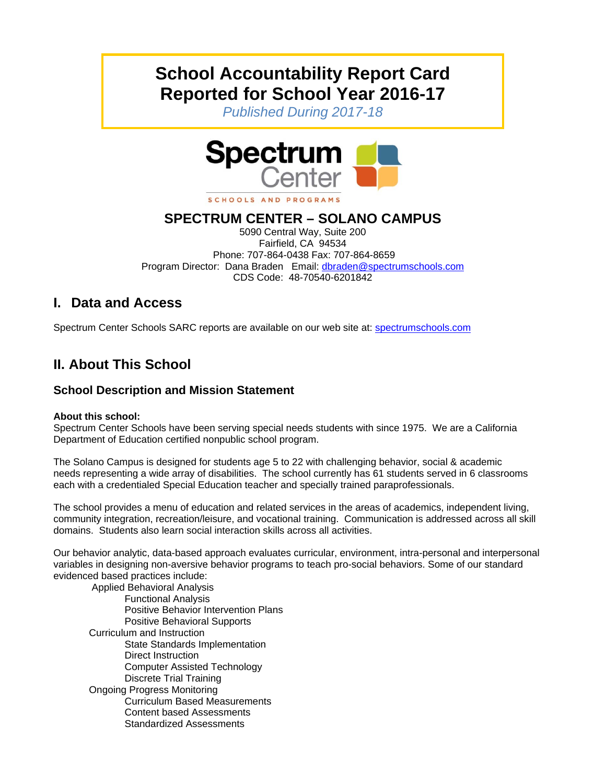# **School Accountability Report Card Reported for School Year 2016-17**

*Published During 2017-18* 



**SPECTRUM CENTER – SOLANO CAMPUS**  5090 Central Way, Suite 200 Fairfield, CA 94534 Phone: 707-864-0438 Fax: 707-864-8659 Program Director: Dana Braden Email: dbraden@spectrumschools.com CDS Code: 48-70540-6201842

# **I. Data and Access**

Spectrum Center Schools SARC reports are available on our web site at: spectrumschools.com

# **II. About This School**

# **School Description and Mission Statement**

#### **About this school:**

Spectrum Center Schools have been serving special needs students with since 1975. We are a California Department of Education certified nonpublic school program.

The Solano Campus is designed for students age 5 to 22 with challenging behavior, social & academic needs representing a wide array of disabilities. The school currently has 61 students served in 6 classrooms each with a credentialed Special Education teacher and specially trained paraprofessionals.

The school provides a menu of education and related services in the areas of academics, independent living, community integration, recreation/leisure, and vocational training. Communication is addressed across all skill domains. Students also learn social interaction skills across all activities.

Our behavior analytic, data-based approach evaluates curricular, environment, intra-personal and interpersonal variables in designing non-aversive behavior programs to teach pro-social behaviors. Some of our standard evidenced based practices include:

 Applied Behavioral Analysis Functional Analysis Positive Behavior Intervention Plans Positive Behavioral Supports Curriculum and Instruction State Standards Implementation Direct Instruction Computer Assisted Technology Discrete Trial Training Ongoing Progress Monitoring Curriculum Based Measurements Content based Assessments Standardized Assessments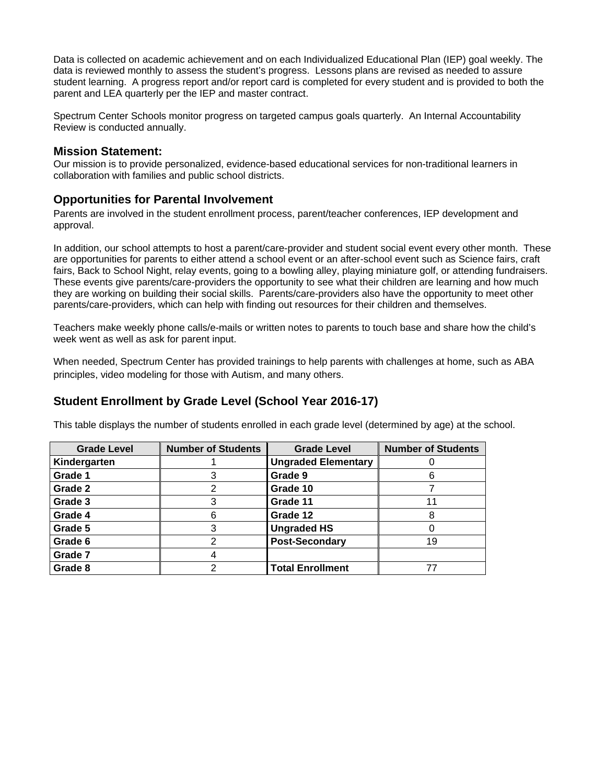Data is collected on academic achievement and on each Individualized Educational Plan (IEP) goal weekly. The data is reviewed monthly to assess the student's progress. Lessons plans are revised as needed to assure student learning. A progress report and/or report card is completed for every student and is provided to both the parent and LEA quarterly per the IEP and master contract.

Spectrum Center Schools monitor progress on targeted campus goals quarterly. An Internal Accountability Review is conducted annually.

**Mission Statement:**<br>Our mission is to provide personalized, evidence-based educational services for non-traditional learners in collaboration with families and public school districts.

#### **Opportunities for Parental Involvement**

Parents are involved in the student enrollment process, parent/teacher conferences, IEP development and approval.

In addition, our school attempts to host a parent/care-provider and student social event every other month. These are opportunities for parents to either attend a school event or an after-school event such as Science fairs, craft fairs, Back to School Night, relay events, going to a bowling alley, playing miniature golf, or attending fundraisers. These events give parents/care-providers the opportunity to see what their children are learning and how much they are working on building their social skills. Parents/care-providers also have the opportunity to meet other parents/care-providers, which can help with finding out resources for their children and themselves.

Teachers make weekly phone calls/e-mails or written notes to parents to touch base and share how the child's week went as well as ask for parent input.

When needed, Spectrum Center has provided trainings to help parents with challenges at home, such as ABA principles, video modeling for those with Autism, and many others.

#### **Student Enrollment by Grade Level (School Year 2016-17)**

This table displays the number of students enrolled in each grade level (determined by age) at the school.

| <b>Grade Level</b> | <b>Number of Students</b> | <b>Grade Level</b>         | <b>Number of Students</b> |
|--------------------|---------------------------|----------------------------|---------------------------|
| Kindergarten       |                           | <b>Ungraded Elementary</b> |                           |
| Grade 1            |                           | Grade 9                    |                           |
| Grade 2            | 2                         | Grade 10                   |                           |
| Grade 3            | 3                         | Grade 11                   | 11                        |
| Grade 4            | 6                         | Grade 12                   |                           |
| Grade 5            | 3                         | <b>Ungraded HS</b>         |                           |
| Grade 6            | 2                         | <b>Post-Secondary</b>      | 19                        |
| Grade 7            | 4                         |                            |                           |
| Grade 8            | 2                         | <b>Total Enrollment</b>    |                           |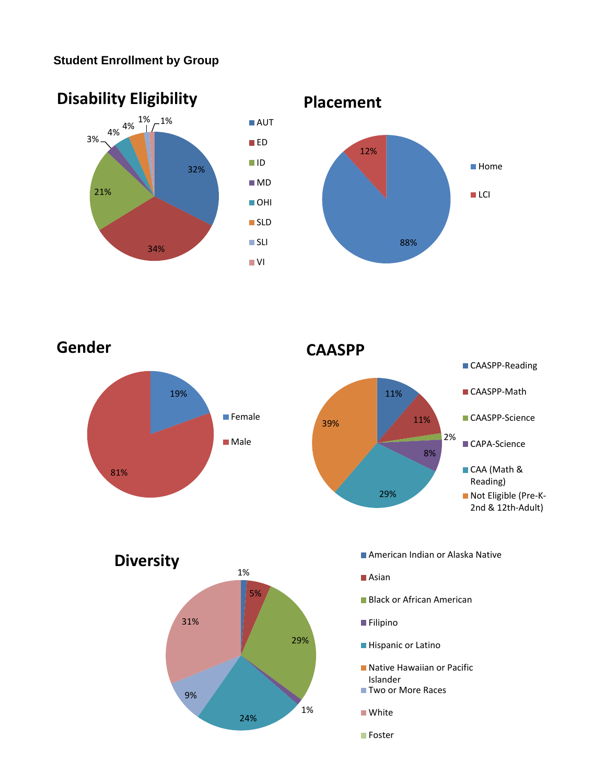# **Student Enrollment by Group**



19% 81% **Gender Female Male** 

**CAASPP**





- 
- Asian
- **Black or African American**
- **Filipino**
- **Hispanic or Latino**
- **Native Hawaiian or Pacific** Islander
- Two or More Races
- **White**
- **Foster**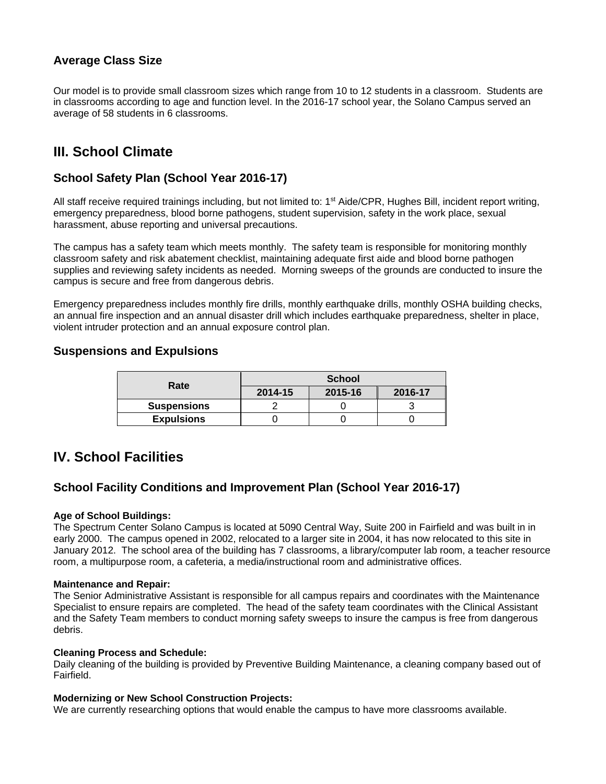# **Average Class Size**

Our model is to provide small classroom sizes which range from 10 to 12 students in a classroom. Students are in classrooms according to age and function level. In the 2016-17 school year, the Solano Campus served an average of 58 students in 6 classrooms.

# **III. School Climate**

### **School Safety Plan (School Year 2016-17)**

All staff receive required trainings including, but not limited to: 1<sup>st</sup> Aide/CPR, Hughes Bill, incident report writing, emergency preparedness, blood borne pathogens, student supervision, safety in the work place, sexual harassment, abuse reporting and universal precautions.

The campus has a safety team which meets monthly. The safety team is responsible for monitoring monthly classroom safety and risk abatement checklist, maintaining adequate first aide and blood borne pathogen supplies and reviewing safety incidents as needed. Morning sweeps of the grounds are conducted to insure the campus is secure and free from dangerous debris.

Emergency preparedness includes monthly fire drills, monthly earthquake drills, monthly OSHA building checks, an annual fire inspection and an annual disaster drill which includes earthquake preparedness, shelter in place, violent intruder protection and an annual exposure control plan.

### **Suspensions and Expulsions**

| Rate               | <b>School</b> |         |         |  |
|--------------------|---------------|---------|---------|--|
|                    | 2014-15       | 2015-16 | 2016-17 |  |
| <b>Suspensions</b> |               |         |         |  |
| <b>Expulsions</b>  |               |         |         |  |

# **IV. School Facilities**

#### **School Facility Conditions and Improvement Plan (School Year 2016-17)**

#### **Age of School Buildings:**

The Spectrum Center Solano Campus is located at 5090 Central Way, Suite 200 in Fairfield and was built in in early 2000. The campus opened in 2002, relocated to a larger site in 2004, it has now relocated to this site in January 2012. The school area of the building has 7 classrooms, a library/computer lab room, a teacher resource room, a multipurpose room, a cafeteria, a media/instructional room and administrative offices.

#### **Maintenance and Repair:**

The Senior Administrative Assistant is responsible for all campus repairs and coordinates with the Maintenance Specialist to ensure repairs are completed. The head of the safety team coordinates with the Clinical Assistant and the Safety Team members to conduct morning safety sweeps to insure the campus is free from dangerous debris.

#### **Cleaning Process and Schedule:**

Daily cleaning of the building is provided by Preventive Building Maintenance, a cleaning company based out of Fairfield.

#### **Modernizing or New School Construction Projects:**

We are currently researching options that would enable the campus to have more classrooms available.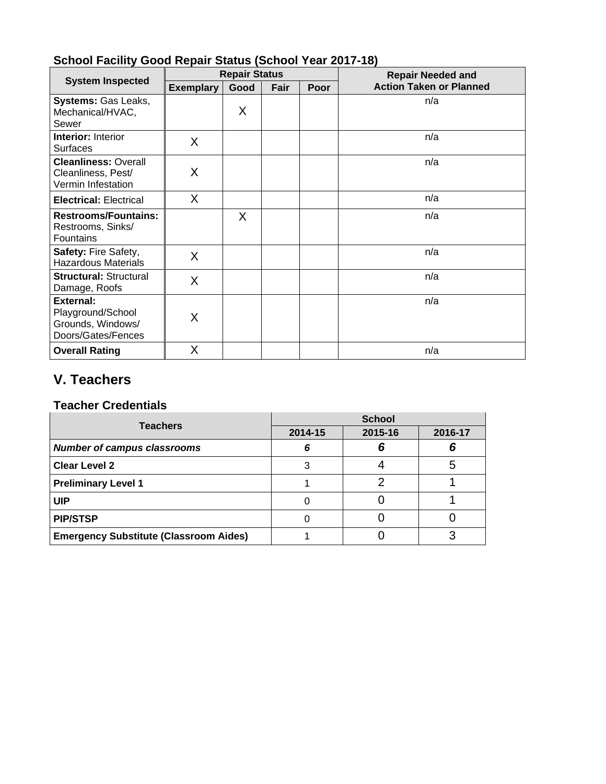|                                                                                  | <b>Repair Status</b> |      |      |      | <b>Repair Needed and</b>       |  |
|----------------------------------------------------------------------------------|----------------------|------|------|------|--------------------------------|--|
| <b>System Inspected</b>                                                          | <b>Exemplary</b>     | Good | Fair | Poor | <b>Action Taken or Planned</b> |  |
| <b>Systems: Gas Leaks,</b><br>Mechanical/HVAC,<br>Sewer                          |                      | Χ    |      |      | n/a                            |  |
| <b>Interior: Interior</b><br><b>Surfaces</b>                                     | X                    |      |      |      | n/a                            |  |
| <b>Cleanliness: Overall</b><br>Cleanliness, Pest/<br>Vermin Infestation          | Χ                    |      |      |      | n/a                            |  |
| <b>Electrical: Electrical</b>                                                    | Χ                    |      |      |      | n/a                            |  |
| <b>Restrooms/Fountains:</b><br>Restrooms, Sinks/<br>Fountains                    |                      | χ    |      |      | n/a                            |  |
| <b>Safety: Fire Safety,</b><br><b>Hazardous Materials</b>                        | X                    |      |      |      | n/a                            |  |
| <b>Structural: Structural</b><br>Damage, Roofs                                   | X                    |      |      |      | n/a                            |  |
| <b>External:</b><br>Playground/School<br>Grounds, Windows/<br>Doors/Gates/Fences | Χ                    |      |      |      | n/a                            |  |
| <b>Overall Rating</b>                                                            | Χ                    |      |      |      | n/a                            |  |

# **School Facility Good Repair Status (School Year 2017-18)**

# **V. Teachers**

# **Teacher Credentials**

| <b>Teachers</b>                               | <b>School</b> |         |         |  |
|-----------------------------------------------|---------------|---------|---------|--|
|                                               | 2014-15       | 2015-16 | 2016-17 |  |
| <b>Number of campus classrooms</b>            | 6             |         |         |  |
| <b>Clear Level 2</b>                          | З             |         |         |  |
| <b>Preliminary Level 1</b>                    |               |         |         |  |
| <b>UIP</b>                                    |               |         |         |  |
| <b>PIP/STSP</b>                               |               |         |         |  |
| <b>Emergency Substitute (Classroom Aides)</b> |               |         |         |  |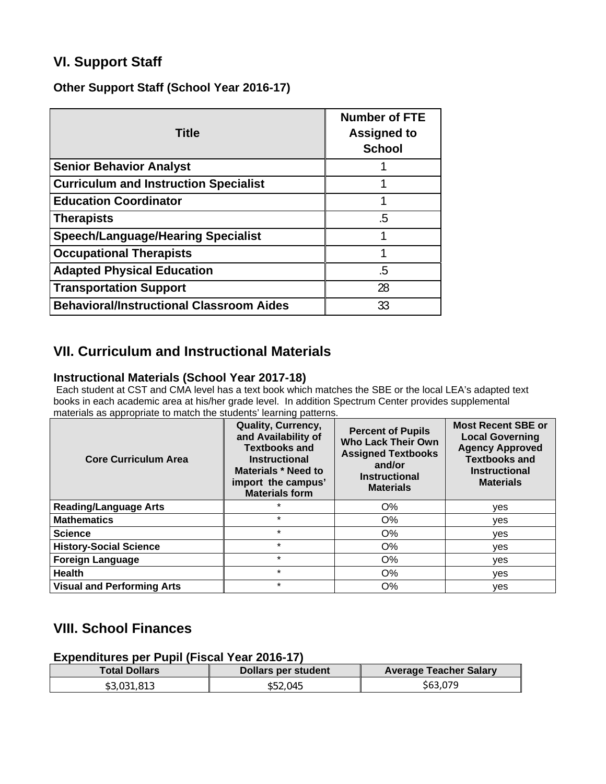# **VI. Support Staff**

**Other Support Staff (School Year 2016-17)** 

| <b>Title</b>                                    | <b>Number of FTE</b><br><b>Assigned to</b><br><b>School</b> |
|-------------------------------------------------|-------------------------------------------------------------|
| <b>Senior Behavior Analyst</b>                  |                                                             |
| <b>Curriculum and Instruction Specialist</b>    | 1                                                           |
| <b>Education Coordinator</b>                    |                                                             |
| <b>Therapists</b>                               | .5                                                          |
| <b>Speech/Language/Hearing Specialist</b>       |                                                             |
| <b>Occupational Therapists</b>                  |                                                             |
| <b>Adapted Physical Education</b>               | .5                                                          |
| <b>Transportation Support</b>                   | 28                                                          |
| <b>Behavioral/Instructional Classroom Aides</b> | 33                                                          |

# **VII. Curriculum and Instructional Materials**

### **Instructional Materials (School Year 2017-18)**

 Each student at CST and CMA level has a text book which matches the SBE or the local LEA's adapted text books in each academic area at his/her grade level. In addition Spectrum Center provides supplemental materials as appropriate to match the students' learning patterns.

| <b>Core Curriculum Area</b>       | <b>Quality, Currency,</b><br>and Availability of<br><b>Textbooks and</b><br><b>Instructional</b><br>Materials * Need to<br>import the campus'<br><b>Materials form</b> | <b>Percent of Pupils</b><br><b>Who Lack Their Own</b><br><b>Assigned Textbooks</b><br>and/or<br><b>Instructional</b><br><b>Materials</b> | <b>Most Recent SBE or</b><br><b>Local Governing</b><br><b>Agency Approved</b><br><b>Textbooks and</b><br><b>Instructional</b><br><b>Materials</b> |
|-----------------------------------|------------------------------------------------------------------------------------------------------------------------------------------------------------------------|------------------------------------------------------------------------------------------------------------------------------------------|---------------------------------------------------------------------------------------------------------------------------------------------------|
| <b>Reading/Language Arts</b>      | $\star$                                                                                                                                                                | O%                                                                                                                                       | ves                                                                                                                                               |
| <b>Mathematics</b>                | $\star$                                                                                                                                                                | $O\%$                                                                                                                                    | yes                                                                                                                                               |
| <b>Science</b>                    | $\star$                                                                                                                                                                | O%                                                                                                                                       | yes                                                                                                                                               |
| <b>History-Social Science</b>     | $\star$                                                                                                                                                                | O%                                                                                                                                       | ves                                                                                                                                               |
| <b>Foreign Language</b>           | $\star$                                                                                                                                                                | O%                                                                                                                                       | ves                                                                                                                                               |
| <b>Health</b>                     | $\star$                                                                                                                                                                | O%                                                                                                                                       | yes                                                                                                                                               |
| <b>Visual and Performing Arts</b> | $\star$                                                                                                                                                                | $O\%$                                                                                                                                    | ves                                                                                                                                               |

# **VIII. School Finances**

**Expenditures per Pupil (Fiscal Year 2016-17)** 

| <b>Total Dollars</b> | Dollars per student | <b>Average Teacher Salary</b> |
|----------------------|---------------------|-------------------------------|
| \$3,031,813          | \$52.045            | \$63,079                      |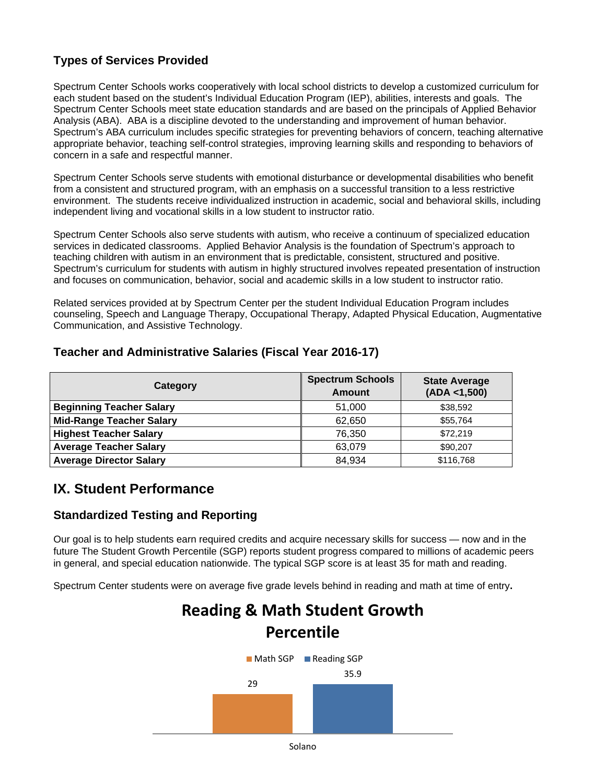# **Types of Services Provided**

Spectrum Center Schools works cooperatively with local school districts to develop a customized curriculum for each student based on the student's Individual Education Program (IEP), abilities, interests and goals. The Spectrum Center Schools meet state education standards and are based on the principals of Applied Behavior Analysis (ABA). ABA is a discipline devoted to the understanding and improvement of human behavior. Spectrum's ABA curriculum includes specific strategies for preventing behaviors of concern, teaching alternative appropriate behavior, teaching self-control strategies, improving learning skills and responding to behaviors of concern in a safe and respectful manner.

Spectrum Center Schools serve students with emotional disturbance or developmental disabilities who benefit from a consistent and structured program, with an emphasis on a successful transition to a less restrictive environment. The students receive individualized instruction in academic, social and behavioral skills, including independent living and vocational skills in a low student to instructor ratio.

Spectrum Center Schools also serve students with autism, who receive a continuum of specialized education services in dedicated classrooms. Applied Behavior Analysis is the foundation of Spectrum's approach to teaching children with autism in an environment that is predictable, consistent, structured and positive. Spectrum's curriculum for students with autism in highly structured involves repeated presentation of instruction and focuses on communication, behavior, social and academic skills in a low student to instructor ratio.

Related services provided at by Spectrum Center per the student Individual Education Program includes counseling, Speech and Language Therapy, Occupational Therapy, Adapted Physical Education, Augmentative Communication, and Assistive Technology.

## **Teacher and Administrative Salaries (Fiscal Year 2016-17)**

| Category                        | <b>Spectrum Schools</b><br>Amount | <b>State Average</b><br>(ADA < 1,500) |
|---------------------------------|-----------------------------------|---------------------------------------|
| <b>Beginning Teacher Salary</b> | 51,000                            | \$38,592                              |
| <b>Mid-Range Teacher Salary</b> | 62.650                            | \$55,764                              |
| <b>Highest Teacher Salary</b>   | 76,350                            | \$72.219                              |
| <b>Average Teacher Salary</b>   | 63,079                            | \$90,207                              |
| <b>Average Director Salary</b>  | 84,934                            | \$116,768                             |

# **IX. Student Performance**

## **Standardized Testing and Reporting**

Our goal is to help students earn required credits and acquire necessary skills for success — now and in the future The Student Growth Percentile (SGP) reports student progress compared to millions of academic peers in general, and special education nationwide. The typical SGP score is at least 35 for math and reading.

Spectrum Center students were on average five grade levels behind in reading and math at time of entry**.**

# **Reading & Math Student Growth Percentile**

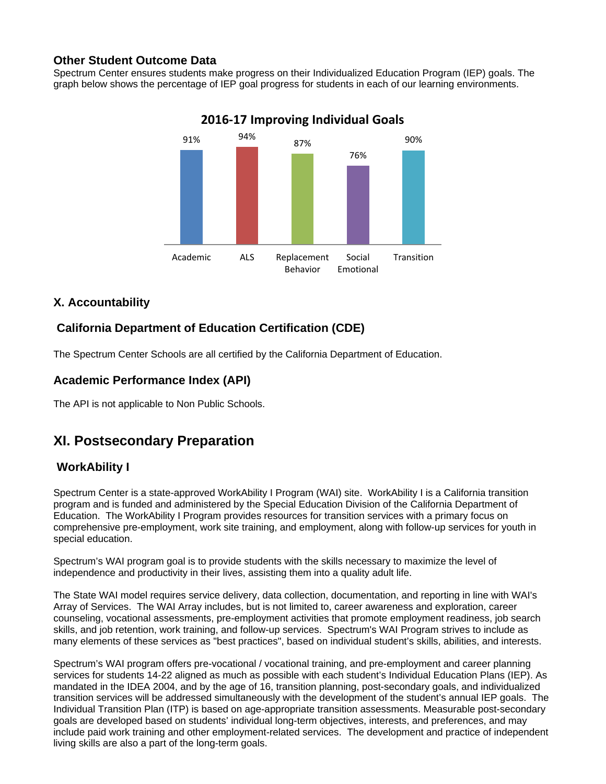## **Other Student Outcome Data**

Spectrum Center ensures students make progress on their Individualized Education Program (IEP) goals. The graph below shows the percentage of IEP goal progress for students in each of our learning environments.



# **2016‐17 Improving Individual Goals**

# **X. Accountability**

# **California Department of Education Certification (CDE)**

The Spectrum Center Schools are all certified by the California Department of Education.

# **Academic Performance Index (API)**

The API is not applicable to Non Public Schools.

# **XI. Postsecondary Preparation**

## **WorkAbility I**

Spectrum Center is a state-approved WorkAbility I Program (WAI) site. WorkAbility I is a California transition program and is funded and administered by the Special Education Division of the California Department of Education. The WorkAbility I Program provides resources for transition services with a primary focus on comprehensive pre-employment, work site training, and employment, along with follow-up services for youth in special education.

Spectrum's WAI program goal is to provide students with the skills necessary to maximize the level of independence and productivity in their lives, assisting them into a quality adult life.

The State WAI model requires service delivery, data collection, documentation, and reporting in line with WAI's Array of Services. The WAI Array includes, but is not limited to, career awareness and exploration, career counseling, vocational assessments, pre-employment activities that promote employment readiness, job search skills, and job retention, work training, and follow-up services. Spectrum's WAI Program strives to include as many elements of these services as "best practices", based on individual student's skills, abilities, and interests.

Spectrum's WAI program offers pre-vocational / vocational training, and pre-employment and career planning services for students 14-22 aligned as much as possible with each student's Individual Education Plans (IEP). As mandated in the IDEA 2004, and by the age of 16, transition planning, post-secondary goals, and individualized transition services will be addressed simultaneously with the development of the student's annual IEP goals. The Individual Transition Plan (ITP) is based on age-appropriate transition assessments. Measurable post-secondary goals are developed based on students' individual long-term objectives, interests, and preferences, and may include paid work training and other employment-related services. The development and practice of independent living skills are also a part of the long-term goals.